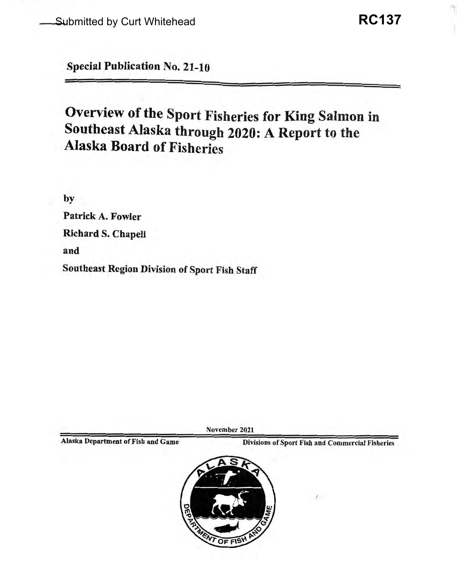Special Publication No. 21-10

# Overview of the Sport Fisheries for King Salmon in Southeast Alaska through 2020: A Report to the Alaska Board of Fisheries

by

Patrick A. Fowler Richard S. Chapell and Southeast Region Division of Sport Fish Staff

November 2021

Alaska Department of Fish and Game<br>
Divisions of Sport Fish and Commercial Fisheries

*I* 

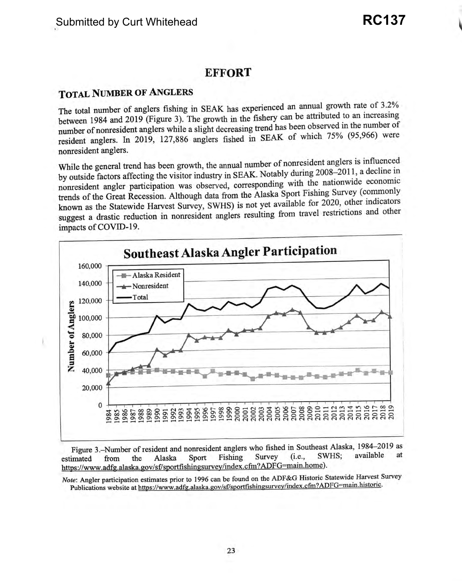## **EFFORT**

## **TOTAL NUMBER OF ANGLERS**

The total number of anglers fishing in SEAK has experienced an annual growth rate of 3.2% between 1984 and 2019 (Figure 3). The growth in the fishery can be attributed to an increasing number of nonresident anglers while a slight decreasing trend has been observed in the number of resident anglers. In 2019, 127,886 anglers fished in SEAK of which 75% (95,966) were nonresident anglers.

While the general trend has been growth, the annual number of nonresident anglers is influenced by outside factors affecting the visitor industry in SEAK. Notably during 2008-2011, a decline in nonresident angler participation was observed, corresponding with the nationwide economic trends of the Great Recession. Although data from the Alaska Sport Fishing Survey ( commonly known as the Statewide Harvest Survey, SWHS) is not yet available for 2020, other indicators suggest a drastic reduction in nonresident anglers resulting from travel restrictions and other impacts of COVID-19.



Figure 3.-Number of resident and nonresident anglers who fished in Southeast Alaska, 1984-2019 as estimated from the Alaska Sport Fishing Survey (i.e., SWHS; available at https://www.adfg.alaska.gov/sf/sportfishingsurvey/index.cfin?ADFG=main.home).

*Note:* Angler participation estimates prior to 1996 can be found on the ADF&G Historic Statewide Harvest Survey Publications website at https://www.adfg.alaska.gov/sf/sportfishingsurvey/index.cfm?ADFG=main.historic.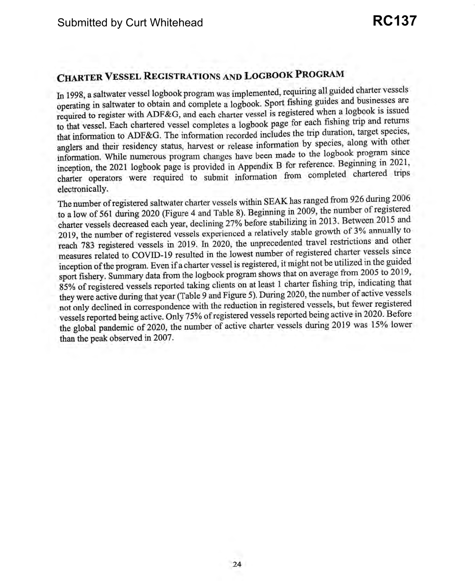# **CHARTER VESSEL REGISTRATIONS AND LOGBOOK PROGRAM**

In 1998, a saltwater vessel logbook program was implemented, requiring all guided charter vessels operating in saltwater to obtain and complete a logbook. Sport fishing guides and businesses are required to register with ADF&G, and each charter vessel is registered when a logbook is issued to that vessel. Each chartered vessel completes a logbook page for each fishing trip and returns that information to ADF&G. The information recorded includes the trip duration, target species, anglers and their residency status, harvest or release information by species, along with other information. While numerous program changes have been made to the logbook program since inception, the 2021 logbook page is provided in Appendix B for reference. Beginning in 2021, charter operators were required to submit information from completed chartered trips electronically.

The number ofregistered saltwater charter vessels within SEAK has ranged from 926 during 2006 to a low of 561 during 2020 (Figure 4 and Table 8). Beginning in 2009, the number ofregistered charter vessels decreased each year, declining 27% before stabilizing in 2013. Between 2015 and 2019, the number of registered vessels experienced a relatively stable growth of 3% annually to reach 783 registered vessels in 2019. In 2020, the unprecedented travel restrictions and other measures related to COVID-19 resulted in the lowest number of registered charter vessels since inception ofthe program. Even ifa charter vessel is registered, it might not be utilized in the guided sport fishery. Summary data from the logbook program shows that on average from 2005 to 2019, 85% of registered vessels reported taking clients on at least 1 charter fishing trip, indicating that they were active during that year (Table 9 and Figure 5). During 2020, the number of active vessels not only declined in correspondence with the reduction in registered vessels, but fewer registered vessels reported being active. Only 75% ofregistered vessels reported being active in 2020. Before the global pandemic of 2020, the number of active charter vessels during 2019 was 15% lower than the peak observed in 2007.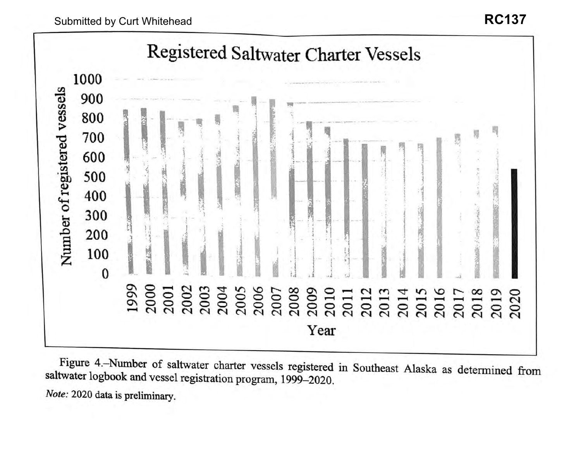

Figure 4.-Number of saltwater charter vessels registered in Southeast Alaska as determined from saltwater logbook and vessel registration program, 1999-2020. *Note:* 2020 data is preliminary.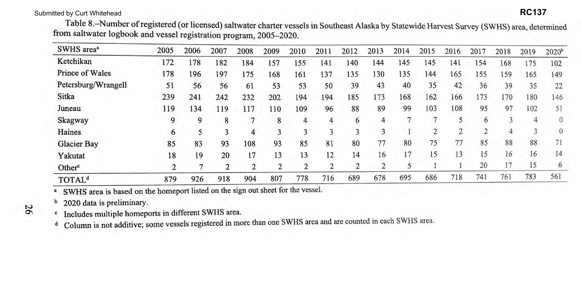# Submitted by Curt Whitehead **RC137**

Table 8.-Number ofregistered (or licensed) saltwater charter vessels in Southeast Alaska by Statewide Harvest Survey (SWHS) area, determined from saltwater logbook and vessel registration program, 2005-2020.

d Column is not additive; some vessels registered in more than one SWHS area and are counted in each SWHS area.

| SWHS area <sup>a</sup>   | 2005 | 2006 | 2007 | 2008 | 2009 | 2010 | 2011 | 2012 | 2013 | 2014 | 2015 | 2016 | 2017          | 2018 | 2019 | $2020^{b}$     |
|--------------------------|------|------|------|------|------|------|------|------|------|------|------|------|---------------|------|------|----------------|
| Ketchikan                | 172  | 178  | 182  | 184  | 157  | 55   | 141  | 140  | 144  | 145  | 145  | 141  | 154           | 168  | 175  | 102            |
| <b>Prince of Wales</b>   | 178  | 196  | 197  | 175  | 168  | 161  | 137  | 135  | 130  | 135  | 144  | 165  | 155           | 159  | 165  | 149            |
| Petersburg/Wrangell      | 51   | 56   | 56   | 61   | 53   | 53   | 50   | 39   | 43   | 40   | 35   | 42   | 36            | 39   | 35   | 22             |
| Sitka                    | 239  | 241  | 242  | 232  | 202  | 194  | 194  | 185  | 173  | 168  | 162  | 166  | 173           | 170  | 180  | 146            |
| Juneau                   | 119  | 134  | 119  | 117  | 110  | 109  | 96   | 88   | 89   | 99   | 103  | 108  | 95            | 97   | 102  | 51             |
| Skagway                  | 9    | 9    | 8    |      | 8    | 4    | 4    | 6    | 4    |      |      |      | 6             |      | 4    | $\overline{0}$ |
| Haines                   | 6    |      | 3    | 4    | 3    | 3    | ٦    | ٦    | 3    |      |      |      | $\mathcal{P}$ | 4    |      | $\theta$       |
| <b>Glacier Bay</b>       | 85   | 83   | 93   | 108  | 93   | 85   | 81   | 80   | 77   | 80   | 75   | 77   | 85            | 88   | 88   | 71             |
| Yakutat                  | 18   | 19   | 20   | 17   | 13   | 13   | 12   | 14   | 16   | 17   | 15   | 13   | 15            | 16   | 16   | 14             |
| Other <sup>c</sup>       |      |      | 2    | 2    | 2    | 2    | 2    | 2    | n.   |      |      |      | 20            | 17   | 15   | 6              |
| <b>TOTAL<sup>d</sup></b> | 879  | 926  | 918  | 904  | 807  | 778  | 716  | 689  | 678  | 695  | 686  | 718  | 741           | 761  | 783  | 561            |

<sup>a</sup> SWHS area is based on the homeport listed on the sign out sheet for the vessel.

**N**  °'

b 2020 data is preliminary.

c Includes multiple homeports in different SWHS area. .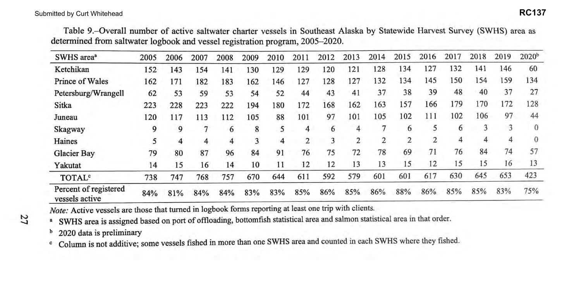Table 9.-0verall number of active saltwater charter vessels in Southeast Alaska by Statewide Harvest Survey (SWHS) area as determined from saltwater logbook and vessel registration program, 2005-2020.

| SWHS area <sup>a</sup>                  | 2005 | 2006 | 2007 | 2008 | 2009 | 2010 | 2011 | 2012 | 2013 | 2014 | 2015 | 2016 | 2017 | 2018 | 2019 | 2020 <sup>b</sup> |
|-----------------------------------------|------|------|------|------|------|------|------|------|------|------|------|------|------|------|------|-------------------|
| Ketchikan                               | 152  | 143  | 154  | 141  | 130  | 129  | 129  | 120  | 121  | 128  | 134  | 127  | 132  | 141  | 146  | 60                |
| Prince of Wales                         | 162  | 171  | 182  | 183  | 162  | 146  | 127  | 128  | 127  | 132  | 134  | 145  | 150  | 154  | 159  | 134               |
| Petersburg/Wrangell                     | 62   | 53   | 59   | 53   | 54   | 52   | 44   | 43   | 41   | 37   | 38   | 39   | 48   | 40   | 37   | 27                |
| Sitka                                   | 223  | 228  | 223  | 222  | 194  | 180  | 172  | 168  | 162  | 163  | 157  | 166  | 179  | l 70 | 172  | 128               |
| Juneau                                  | 120  | 117  | 113  | 112  | 105  | 88   | 101  | 97   | 101  | 105  | 102  | 111  | 102  | 106  | 97   | 44                |
| <b>Skagway</b>                          | 9    | 9    |      | 6    | 8    | 5    | 4    | 6    | 4    | 7    | 6    | 5    | 6    | 3    | 3    | $\overline{0}$    |
| Haines                                  | 5    | 4    | 4    | 4    | 3    | 4    | 2    | 3    | 2    | 2    | 2    | 2    | 4    | 4    | 4    | 0                 |
| Glacier Bay                             | 79   | 80   | 87   | 96   | 84   | 91   | 76   | 75   | 72   | 78   | 69   | 71   | 76   | 84   | 74   | 57                |
| Yakutat                                 | 14   | 15   | 16   | 14   | 10   | 11   | 12   | 12   | 13   | 13   | 15   | 12   | 15   | 15   | 16   | 13                |
| TOTAL <sup>c</sup>                      | 738  | 747  | 768  | 757  | 670  | 644  | 611  | 592  | 579  | 601  | 601  | 617  | 630  | 645  | 653  | 423               |
| Percent of registered<br>vessels active | 84%  | 81%  | 84%  | 84%  | 83%  | 83%  | 85%  | 86%  | 85%  | 86%  | 88%  | 86%  | 85%  | 85%  | 83%  | 75%               |

**N --..J**  *Note:* Active vessels are those that turned in logbook forms reporting at least one trip with clients.

a SWHS area is assigned based on port of offloading, bottomfish statistical area and salmon statistical area in that order.

b 2020 data is preliminary

c Column is not additive; some vessels fished in more than one SWHS area and counted in each SWHS where they fished.

## **RC137**